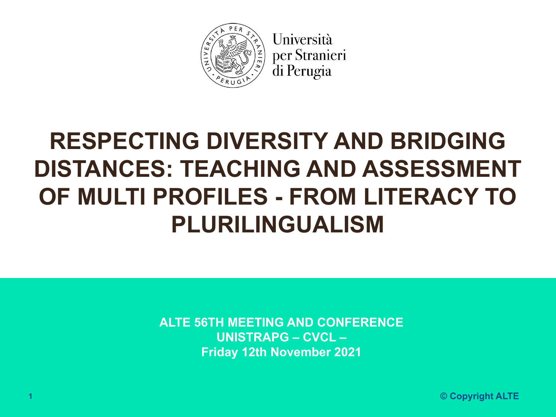

Università per Stranieri di Perugia

# **RESPECTING DIVERSITY AND BRIDGING DISTANCES: TEACHING AND ASSESSMENT OF MULTI PROFILES - FROM LITERACY TO PLURILINGUALISM**

**ALTE 56TH MEETING AND CONFERENCE UNISTRAPG – CVCL – Friday 12th November 2021**

**1 © Copyright ALTE**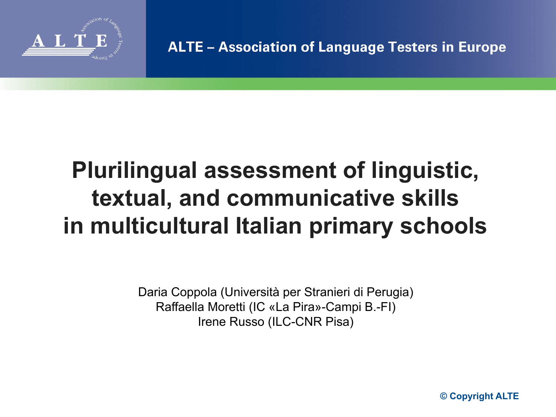

**ALTE - Association of Language Testers in Europe** 

# **Plurilingual assessment of linguistic, textual, and communicative skills in multicultural Italian primary schools**

Daria Coppola (Università per Stranieri di Perugia) Raffaella Moretti (IC «La Pira»-Campi B.-FI) Irene Russo (ILC-CNR Pisa)

**© Copyright ALTE**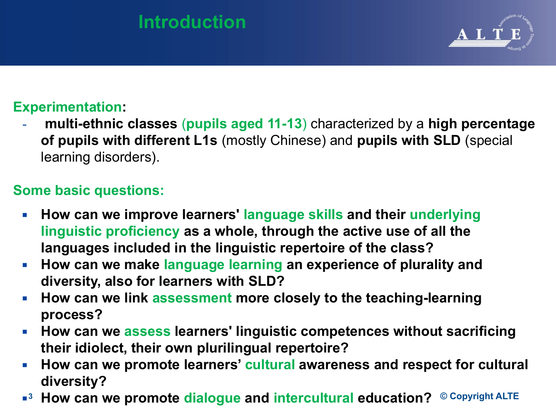## **Introduction**



#### **Experimentation:**

- **multi-ethnic classes** (**pupils aged 11-13**) characterized by a **high percentage of pupils with different L1s** (mostly Chinese) and **pupils with SLD** (special learning disorders).

#### **Some basic questions:**

- **EXTER 19 How can we improve learners' language skills and their underlying linguistic proficiency as a whole, through the active use of all the languages included in the linguistic repertoire of the class?**
- **EXTE How can we make language learning an experience of plurality and diversity, also for learners with SLD?**
- **How can we link assessment more closely to the teaching-learning process?**
- **How can we assess learners' linguistic competences without sacrificing their idiolect, their own plurilingual repertoire?**
- **How can we promote learners' cultural awareness and respect for cultural diversity?**
- ■<sup>3</sup> How can we promote dialogue and intercultural education? © Copyright ALTE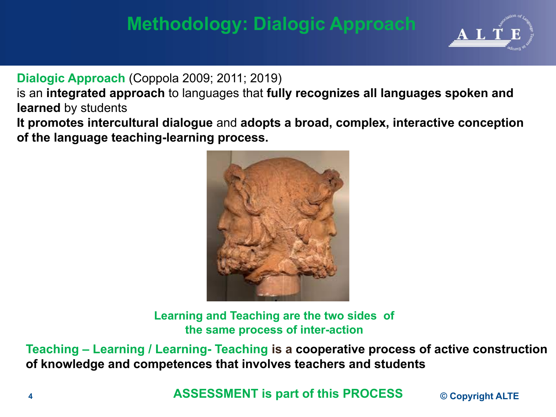# **Methodology: Dialogic Approach**



#### **Dialogic Approach** (Coppola 2009; 2011; 2019)

is an **integrated approach** to languages that **fully recognizes all languages spoken and learned** by students

**It promotes intercultural dialogue** and **adopts a broad, complex, interactive conception of the language teaching-learning process.**



**Learning and Teaching are the two sides of the same process of inter-action**

**Teaching – Learning / Learning- Teaching is a cooperative process of active construction of knowledge and competences that involves teachers and students** 

**4 © Copyright ALTE ASSESSMENT is part of this PROCESS**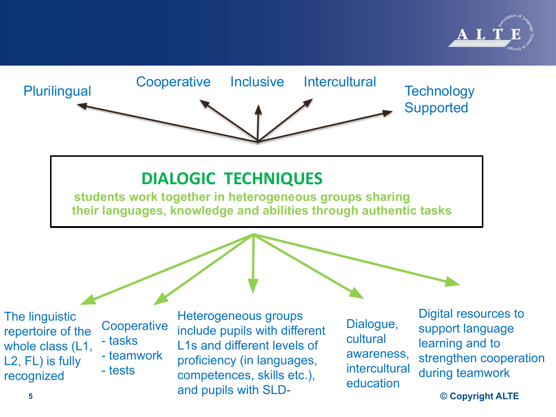



#### **DIALOGIC TECHNIQUES**

 **students work together in heterogeneous groups sharing their languages, knowledge and abilities through authentic tasks**

The linguistic repertoire of the whole class (L1, L2, FL) is fully recognized

**Cooperative** - tasks - teamwork - tests

**5 © Copyright ALTE** Heterogeneous groups include pupils with different L1s and different levels of proficiency (in languages, competences, skills etc.), and pupils with SLD-

Dialogue, cultural awareness, intercultural education

Digital resources to support language learning and to strengthen cooperation during teamwork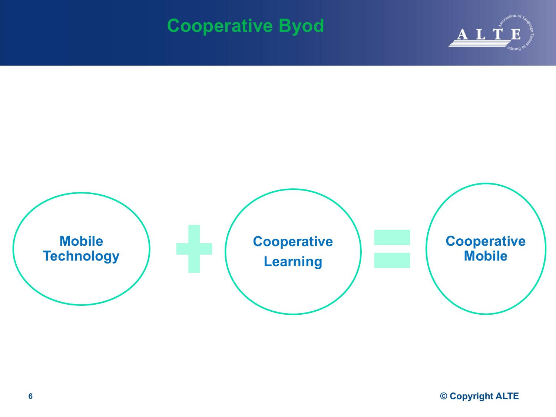### **Cooperative Byod**



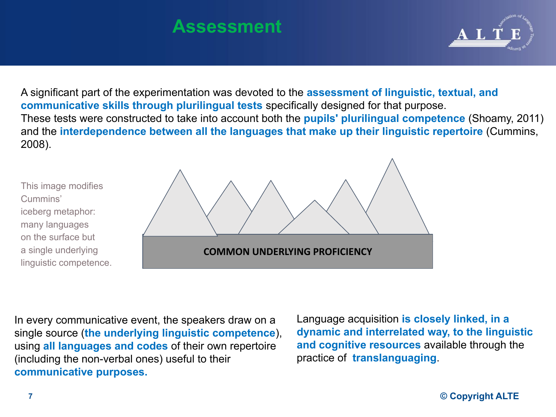#### **Assessment**



A significant part of the experimentation was devoted to the **assessment of linguistic, textual, and communicative skills through plurilingual tests** specifically designed for that purpose. These tests were constructed to take into account both the **pupils' plurilingual competence** (Shoamy, 2011) and the **interdependence between all the languages that make up their linguistic repertoire** (Cummins, 2008).

This image modifies Cummins' iceberg metaphor: many languages on the surface but a single underlying linguistic competence.



In every communicative event, the speakers draw on a single source (**the underlying linguistic competence**), using **all languages and codes** of their own repertoire (including the non-verbal ones) useful to their **communicative purposes.**

Language acquisition **is closely linked, in a dynamic and interrelated way, to the linguistic and cognitive resources** available through the practice of **translanguaging**.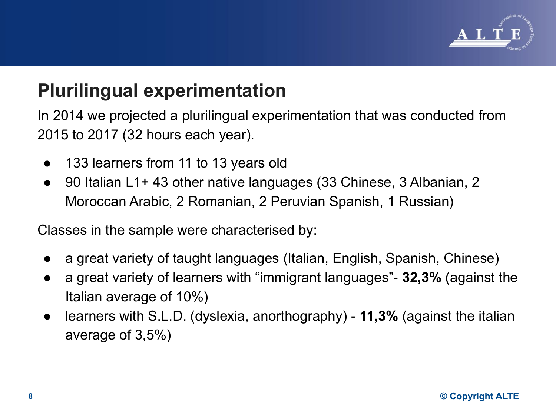

### **Plurilingual experimentation**

In 2014 we projected a plurilingual experimentation that was conducted from 2015 to 2017 (32 hours each year).

- 133 learners from 11 to 13 years old
- 90 Italian L1+ 43 other native languages (33 Chinese, 3 Albanian, 2 Moroccan Arabic, 2 Romanian, 2 Peruvian Spanish, 1 Russian)

Classes in the sample were characterised by:

- a great variety of taught languages (Italian, English, Spanish, Chinese)
- a great variety of learners with "immigrant languages"- **32,3%** (against the Italian average of 10%)
- learners with S.L.D. (dyslexia, anorthography) **11,3%** (against the italian average of 3,5%)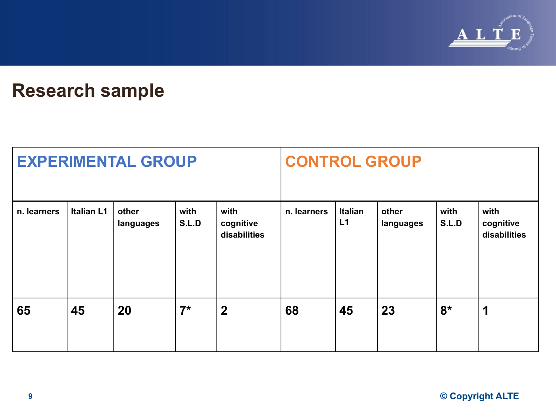

### **Research sample**

| <b>EXPERIMENTAL GROUP</b> |                   |                    |               | <b>CONTROL GROUP</b>              |             |                      |                    |               |                                   |
|---------------------------|-------------------|--------------------|---------------|-----------------------------------|-------------|----------------------|--------------------|---------------|-----------------------------------|
| n. learners               | <b>Italian L1</b> | other<br>languages | with<br>S.L.D | with<br>cognitive<br>disabilities | n. learners | <b>Italian</b><br>L1 | other<br>languages | with<br>S.L.D | with<br>cognitive<br>disabilities |
| 65                        | 45                | 20                 | $7^*$         | $\mathbf{2}$                      | 68          | 45                   | 23                 | $8*$          | 1                                 |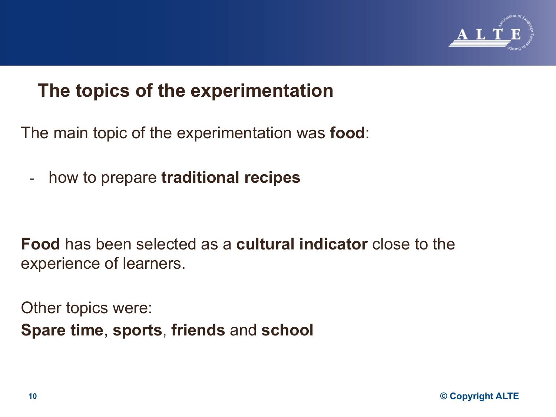

### **The topics of the experimentation**

The main topic of the experimentation was **food**:

- how to prepare **traditional recipes**

**Food** has been selected as a **cultural indicator** close to the experience of learners.

Other topics were: **Spare time**, **sports**, **friends** and **school**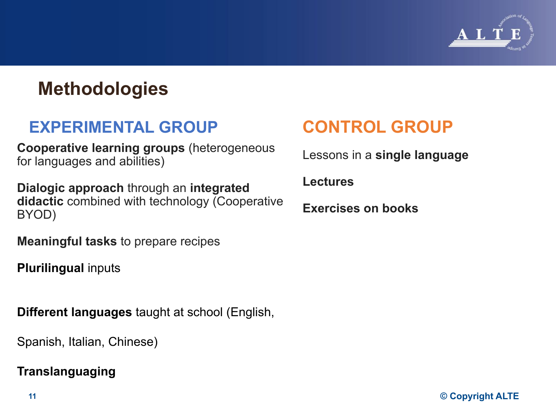

### **Methodologies**

#### **EXPERIMENTAL GROUP**

**Cooperative learning groups** (heterogeneous for languages and abilities)

**Dialogic approach** through an **integrated didactic** combined with technology (Cooperative BYOD)

**Meaningful tasks** to prepare recipes

**Plurilingual** inputs

**Different languages** taught at school (English,

Spanish, Italian, Chinese)

#### **Translanguaging**

#### **CONTROL GROUP**

Lessons in a **single language**

**Lectures**

**Exercises on books**

**11 © Copyright ALTE**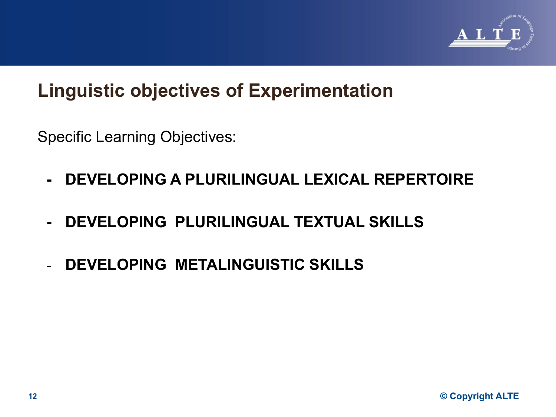

#### **Linguistic objectives of Experimentation**

Specific Learning Objectives:

- **- DEVELOPING A PLURILINGUAL LEXICAL REPERTOIRE**
- **- DEVELOPING PLURILINGUAL TEXTUAL SKILLS**
- **DEVELOPING METALINGUISTIC SKILLS**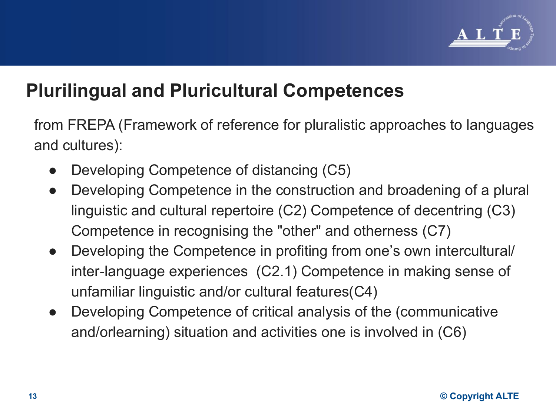

### **Plurilingual and Pluricultural Competences**

from FREPA (Framework of reference for pluralistic approaches to languages and cultures):

- Developing Competence of distancing (C5)
- Developing Competence in the construction and broadening of a plural linguistic and cultural repertoire (C2) Competence of decentring (C3) Competence in recognising the "other" and otherness (C7)
- Developing the Competence in profiting from one's own intercultural/ inter-language experiences (C2.1) Competence in making sense of unfamiliar linguistic and/or cultural features(C4)
- Developing Competence of critical analysis of the (communicative and/orlearning) situation and activities one is involved in (C6)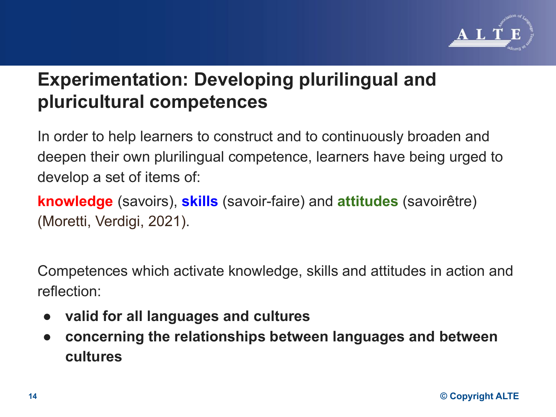

## **Experimentation: Developing plurilingual and pluricultural competences**

In order to help learners to construct and to continuously broaden and deepen their own plurilingual competence, learners have being urged to develop a set of items of:

**knowledge** (savoirs), **skills** (savoir-faire) and **attitudes** (savoirêtre) (Moretti, Verdigi, 2021).

Competences which activate knowledge, skills and attitudes in action and reflection:

- **● valid for all languages and cultures**
- **● concerning the relationships between languages and between cultures**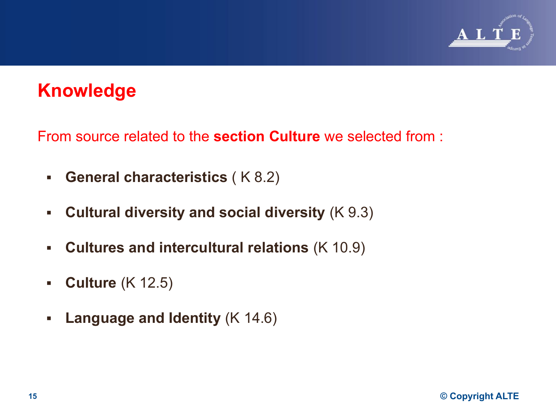

#### **Knowledge**

From source related to the **section Culture** we selected from :

- **General characteristics** ( K 8.2)
- **Cultural diversity and social diversity** (K 9.3)
- **Cultures and intercultural relations** (K 10.9)
- **Culture** (K 12.5)
- **Language and Identity** (K 14.6)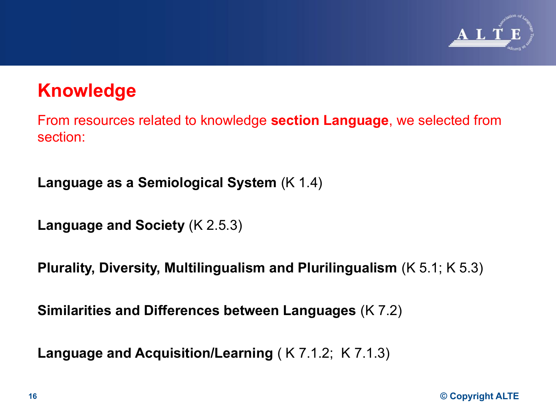

#### **Knowledge**

From resources related to knowledge **section Language**, we selected from section:

**Language as a Semiological System** (K 1.4)

**Language and Society** (K 2.5.3)

**Plurality, Diversity, Multilingualism and Plurilingualism** (K 5.1; K 5.3)

**Similarities and Differences between Languages** (K 7.2)

**Language and Acquisition/Learning** ( K 7.1.2; K 7.1.3)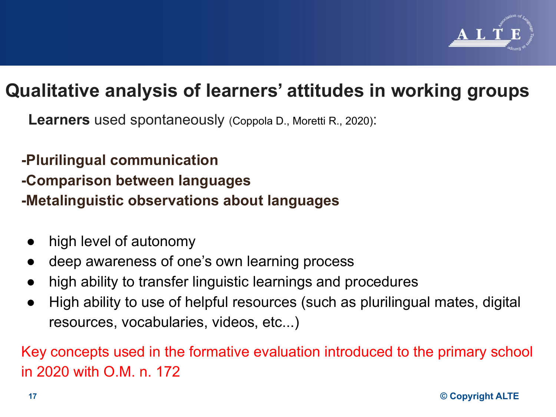

#### **Qualitative analysis of learners' attitudes in working groups**

**Learners** used spontaneously (Coppola D., Moretti R., 2020):

- **-Plurilingual communication**
- **-Comparison between languages**
- **-Metalinguistic observations about languages**
- high level of autonomy
- deep awareness of one's own learning process
- high ability to transfer linguistic learnings and procedures
- High ability to use of helpful resources (such as plurilingual mates, digital resources, vocabularies, videos, etc...)

Key concepts used in the formative evaluation introduced to the primary school in 2020 with O.M. n. 172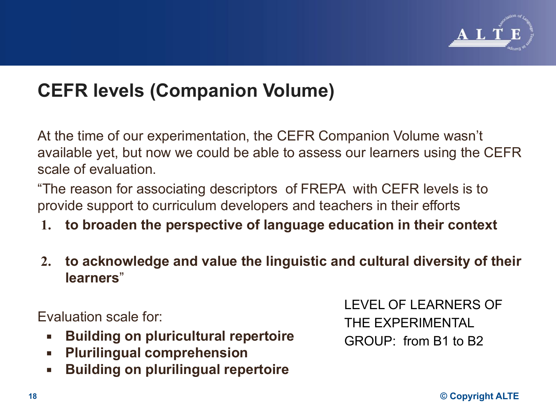

### **CEFR levels (Companion Volume)**

At the time of our experimentation, the CEFR Companion Volume wasn't available yet, but now we could be able to assess our learners using the CEFR scale of evaluation.

"The reason for associating descriptors of FREPA with CEFR levels is to provide support to curriculum developers and teachers in their efforts

- **1. to broaden the perspective of language education in their context**
- **2. to acknowledge and value the linguistic and cultural diversity of their learners**"

Evaluation scale for:

- **Building on pluricultural repertoire**
- **Plurilingual comprehension**
- **Building on plurilingual repertoire**

LEVEL OF LEARNERS OF THE EXPERIMENTAL GROUP: from B1 to B2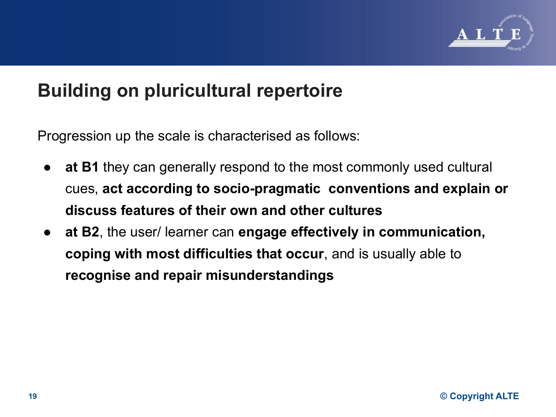

#### **Building on pluricultural repertoire**

Progression up the scale is characterised as follows:

- at B1 they can generally respond to the most commonly used cultural cues, **act according to socio-pragmatic conventions and explain or discuss features of their own and other cultures**
- **● at B2**, the user/ learner can **engage effectively in communication, coping with most difficulties that occur**, and is usually able to **recognise and repair misunderstandings**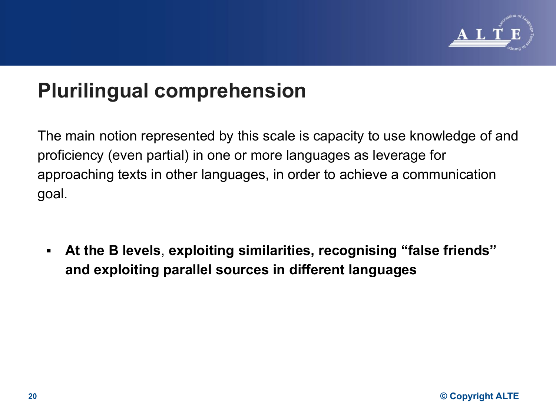

# **Plurilingual comprehension**

The main notion represented by this scale is capacity to use knowledge of and proficiency (even partial) in one or more languages as leverage for approaching texts in other languages, in order to achieve a communication goal.

▪ **At the B levels**, **exploiting similarities, recognising "false friends" and exploiting parallel sources in different languages**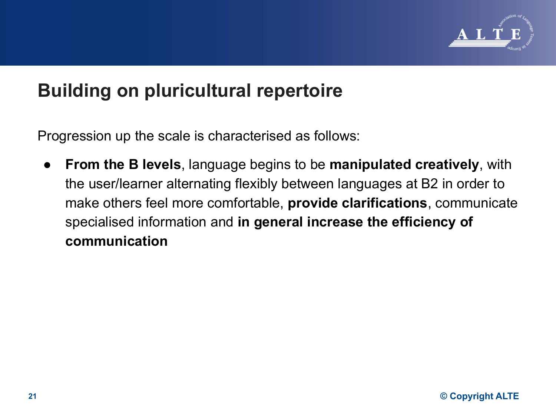

#### **Building on pluricultural repertoire**

Progression up the scale is characterised as follows:

**● From the B levels**, language begins to be **manipulated creatively**, with the user/learner alternating flexibly between languages at B2 in order to make others feel more comfortable, **provide clarifications**, communicate specialised information and **in general increase the efficiency of communication**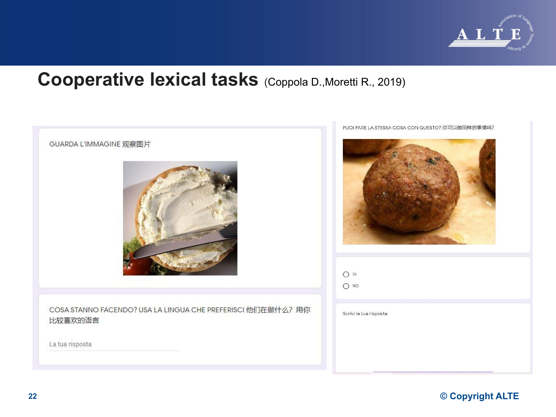

#### **Cooperative lexical tasks** (Coppola D.,Moretti R., 2019)

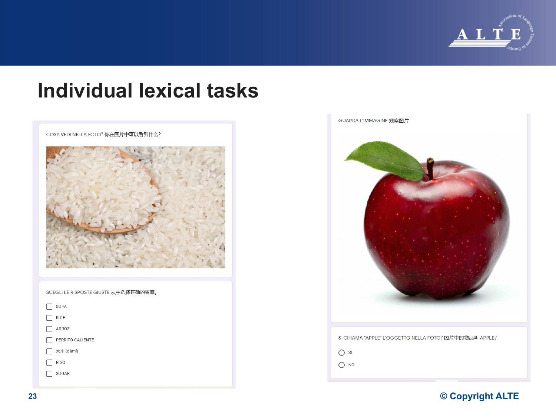#### **23 © Copyright ALTE**

E

a Ta

 $\mathbf A$ 

| <b>RICE</b>      |  |
|------------------|--|
| ARROZ            |  |
| PERRITO CALIENTE |  |
| 大米 (dàmǐ)        |  |
| <b>RISO</b>      |  |
| <b>SUGAR</b>     |  |
|                  |  |

SCEGLI LE RISPOSTE GIUSTE 从中选择正确的答案。



COSA VEDI NELLA FOTO? 你在图片中可以看到什么?

# **Individual lexical tasks**



| GUARDA L'IMMAGINE 观察图片 |
|------------------------|
|                        |
|                        |
|                        |
|                        |
|                        |

SI CHIAMA "APPLE" L'OGGETTO NELLA FOTO? 图片中的物品叫 APPLE?

 $O$  si  $O$  NO

 $\Box$  SOPA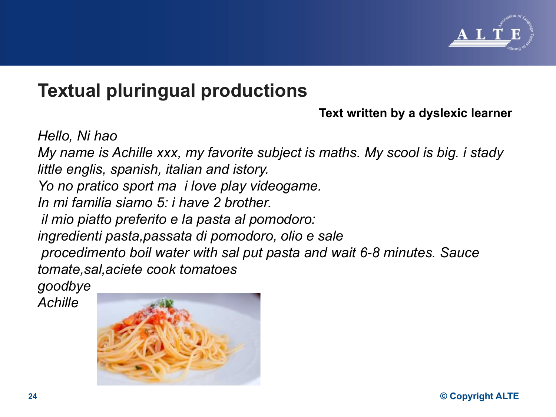

### **Textual pluringual productions**

**Text written by a dyslexic learner**

*Hello, Ni hao My name is Achille xxx, my favorite subject is maths. My scool is big. i stady little englis, spanish, italian and istory. Yo no pratico sport ma i love play videogame. In mi familia siamo 5: i have 2 brother. il mio piatto preferito e la pasta al pomodoro: ingredienti pasta,passata di pomodoro, olio e sale procedimento boil water with sal put pasta and wait 6-8 minutes. Sauce tomate,sal,aciete cook tomatoes goodbye*

*Achille*

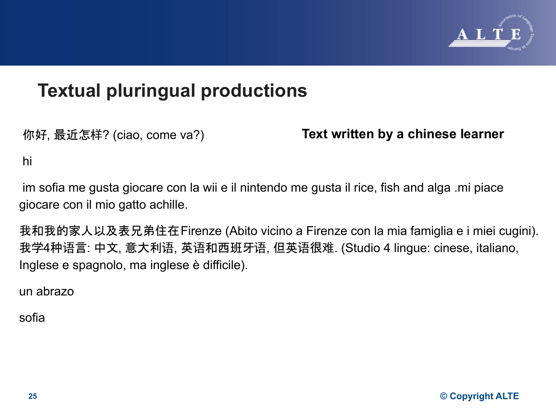

### **Textual pluringual productions**

你好, 最近怎样? (ciao, come va?)

**Text written by a chinese learner**

hi

 im sofia me gusta giocare con la wii e il nintendo me gusta il rice, fish and alga .mi piace giocare con il mio gatto achille.

我和我的家人以及表兄弟住在 Firenze (Abito vicino a Firenze con la mia famiglia e i miei cugini). 我学4种语言: 中文, 意大利语, 英语和西班牙语, 但英语很难. (Studio 4 lingue: cinese, italiano, Inglese e spagnolo, ma inglese è difficile).

un abrazo

sofia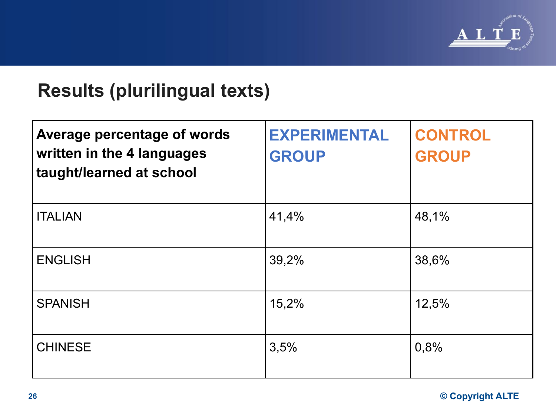

### **Results (plurilingual texts)**

| Average percentage of words<br>written in the 4 languages<br>taught/learned at school | <b>EXPERIMENTAL</b><br><b>GROUP</b> | <b>CONTROL</b><br><b>GROUP</b> |
|---------------------------------------------------------------------------------------|-------------------------------------|--------------------------------|
| <b>ITALIAN</b>                                                                        | 41,4%                               | 48,1%                          |
| <b>ENGLISH</b>                                                                        | 39,2%                               | 38,6%                          |
| <b>SPANISH</b>                                                                        | 15,2%                               | 12,5%                          |
| <b>CHINESE</b>                                                                        | 3,5%                                | 0,8%                           |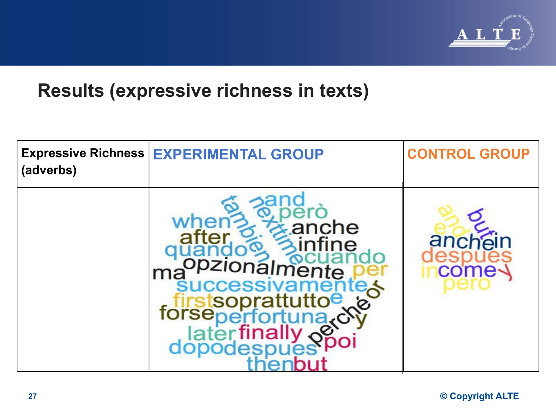

### **Results (expressive richness in texts)**

| <b>Expressive Richness</b><br>(adverbs) | <b>EXPERIMENTAL GROUP</b>                                      | <b>CONTROL GROUP</b> |
|-----------------------------------------|----------------------------------------------------------------|----------------------|
|                                         | he<br>Э<br>e<br>nnalme<br>nte<br>ma<br>soprattuttoe<br>forsene | an<br>come-          |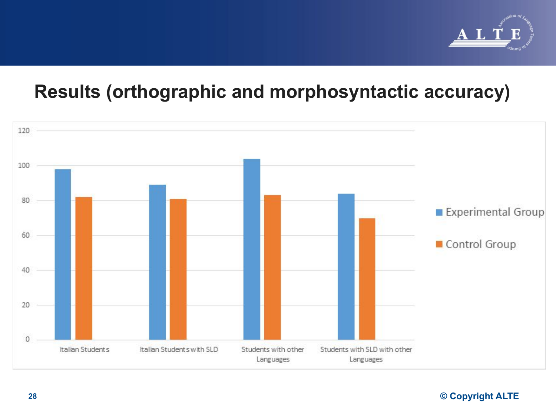

#### **Results (orthographic and morphosyntactic accuracy)**

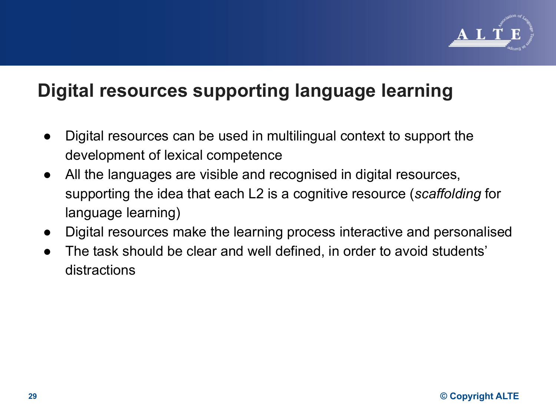

### **Digital resources supporting language learning**

- Digital resources can be used in multilingual context to support the development of lexical competence
- All the languages are visible and recognised in digital resources, supporting the idea that each L2 is a cognitive resource (*scaffolding* for language learning)
- Digital resources make the learning process interactive and personalised
- The task should be clear and well defined, in order to avoid students' distractions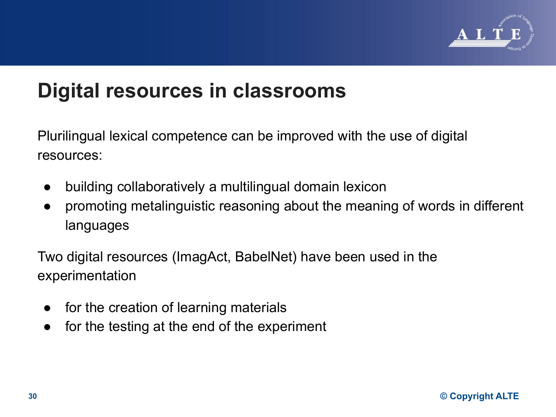

# **Digital resources in classrooms**

Plurilingual lexical competence can be improved with the use of digital resources:

- building collaboratively a multilingual domain lexicon
- promoting metalinguistic reasoning about the meaning of words in different languages

Two digital resources (ImagAct, BabelNet) have been used in the experimentation

- for the creation of learning materials
- for the testing at the end of the experiment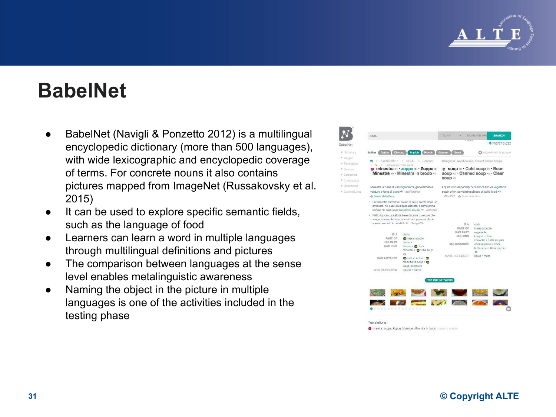

# **BabelNet**

- BabelNet (Navigli & Ponzetto 2012) is a multilingual encyclopedic dictionary (more than 500 languages), with wide lexicographic and encyclopedic coverage of terms. For concrete nouns it also contains pictures mapped from ImageNet (Russakovsky et al. 2015)
- It can be used to explore specific semantic fields, such as the language of food
- Learners can learn a word in multiple languages through multilingual definitions and pictures
- The comparison between languages at the sense level enables metalinguistic awareness
- Naming the object in the picture in multiple languages is one of the activities included in the testing phase

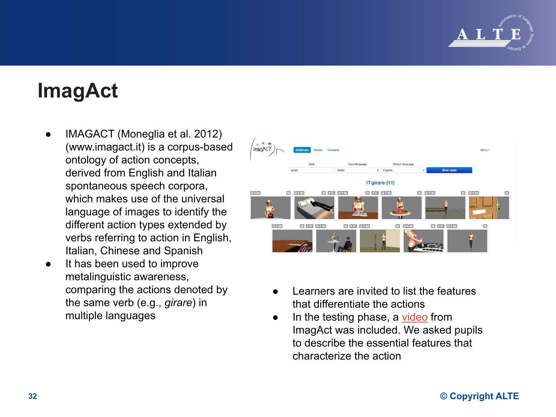

# **ImagAct**

- IMAGACT (Moneglia et al. 2012) (www.imagact.it) is a corpus-based ontology of action concepts, derived from English and Italian spontaneous speech corpora, which makes use of the universal language of images to identify the different action types extended by verbs referring to action in English, Italian, Chinese and Spanish
- It has been used to improve metalinguistic awareness, comparing the actions denoted by the same verb (e.g., *girare*) in multiple languages



- Learners are invited to list the features that differentiate the actions
- In the testing phase, a [video](http://www.imagact.it/imagact/v?id=workspace%3A//SpacesStore/01179674-ef1c-459b-a049-5ce19b89b310) from ImagAct was included. We asked pupils to describe the essential features that characterize the action

#### **32 © Copyright ALTE**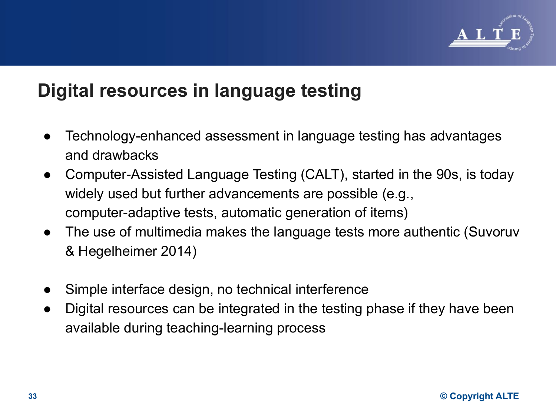

### **Digital resources in language testing**

- Technology-enhanced assessment in language testing has advantages and drawbacks
- Computer-Assisted Language Testing (CALT), started in the 90s, is today widely used but further advancements are possible (e.g., computer-adaptive tests, automatic generation of items)
- The use of multimedia makes the language tests more authentic (Suvoruv & Hegelheimer 2014)
- Simple interface design, no technical interference
- Digital resources can be integrated in the testing phase if they have been available during teaching-learning process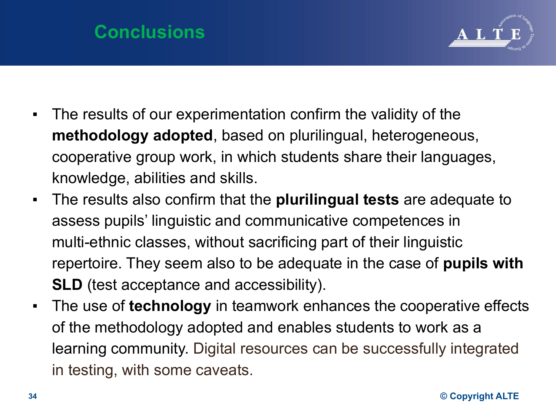



- The results of our experimentation confirm the validity of the **methodology adopted**, based on plurilingual, heterogeneous, cooperative group work, in which students share their languages, knowledge, abilities and skills.
- The results also confirm that the **plurilingual tests** are adequate to assess pupils' linguistic and communicative competences in multi-ethnic classes, without sacrificing part of their linguistic repertoire. They seem also to be adequate in the case of **pupils with SLD** (test acceptance and accessibility).
- The use of **technology** in teamwork enhances the cooperative effects of the methodology adopted and enables students to work as a learning community. Digital resources can be successfully integrated in testing, with some caveats.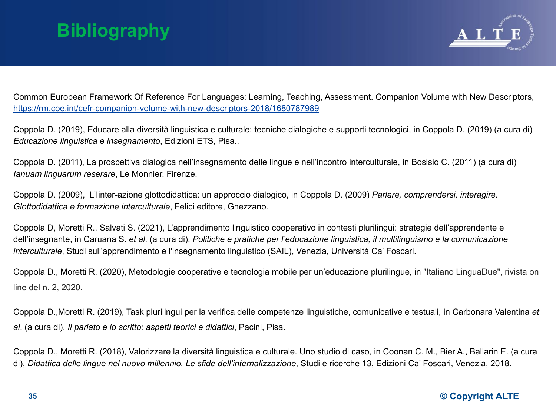# **Bibliography**



Common European Framework Of Reference For Languages: Learning, Teaching, Assessment. Companion Volume with New Descriptors, <https://rm.coe.int/cefr-companion-volume-with-new-descriptors-2018/1680787989>

Coppola D. (2019), Educare alla diversità linguistica e culturale: tecniche dialogiche e supporti tecnologici, in Coppola D. (2019) (a cura di) *Educazione linguistica e insegnamento*, Edizioni ETS, Pisa..

Coppola D. (2011), La prospettiva dialogica nell'insegnamento delle lingue e nell'incontro interculturale, in Bosisio C. (2011) (a cura di) *Ianuam linguarum reserare*, Le Monnier, Firenze.

Coppola D. (2009), L'Iinter-azione glottodidattica: un approccio dialogico, in Coppola D. (2009) *Parlare, comprendersi, interagire. Glottodidattica e formazione interculturale*, Felici editore, Ghezzano.

Coppola D, Moretti R., Salvati S. (2021), L'apprendimento linguistico cooperativo in contesti plurilingui: strategie dell'apprendente e dell'insegnante, in Caruana S. *et al*. (a cura di), *Politiche e pratiche per l'educazione linguistica, il multilinguismo e la comunicazione interculturale*, Studi sull'apprendimento e l'insegnamento linguistico (SAIL), Venezia, Università Ca' Foscari.

Coppola D., Moretti R. (2020), Metodologie cooperative e tecnologia mobile per un'educazione plurilingue*,* in "Italiano LinguaDue", rivista on line del n. 2, 2020.

Coppola D.,Moretti R. (2019), Task plurilingui per la verifica delle competenze linguistiche, comunicative e testuali, in Carbonara Valentina *et al*. (a cura di), *Il parlato e lo scritto: aspetti teorici e didattici*, Pacini, Pisa.

Coppola D., Moretti R. (2018), Valorizzare la diversità linguistica e culturale. Uno studio di caso, in Coonan C. M., Bier A., Ballarin E. (a cura di), *Didattica delle lingue nel nuovo millennio. Le sfide dell'internalizzazione*, Studi e ricerche 13, Edizioni Ca' Foscari, Venezia, 2018.

#### **35 © Copyright ALTE**